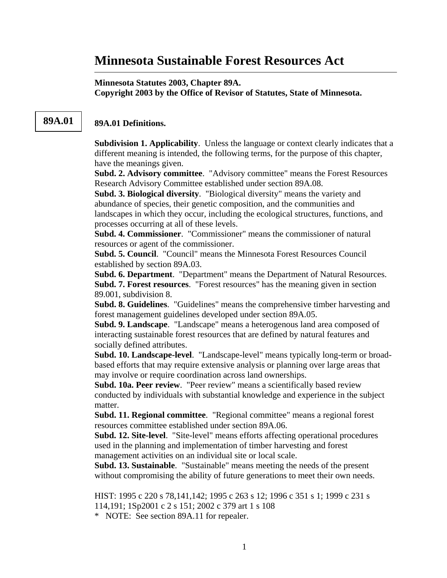# **Minnesota Sustainable Forest Resources Act**

### **Minnesota Statutes 2003, Chapter 89A. Copyright 2003 by the Office of Revisor of Statutes, State of Minnesota.**

## **89A.01 89A.01 Definitions.**

**Subdivision 1. Applicability**. Unless the language or context clearly indicates that a different meaning is intended, the following terms, for the purpose of this chapter, have the meanings given.

**Subd. 2. Advisory committee**. "Advisory committee" means the Forest Resources Research Advisory Committee established under section 89A.08.

**Subd. 3. Biological diversity**. "Biological diversity" means the variety and abundance of species, their genetic composition, and the communities and landscapes in which they occur, including the ecological structures, functions, and processes occurring at all of these levels.

**Subd. 4. Commissioner**. "Commissioner" means the commissioner of natural resources or agent of the commissioner.

**Subd. 5. Council**. "Council" means the Minnesota Forest Resources Council established by section 89A.03.

**Subd. 6. Department**. "Department" means the Department of Natural Resources. **Subd. 7. Forest resources**. "Forest resources" has the meaning given in section 89.001, subdivision 8.

**Subd. 8. Guidelines**. "Guidelines" means the comprehensive timber harvesting and forest management guidelines developed under section 89A.05.

**Subd. 9. Landscape**. "Landscape" means a heterogenous land area composed of interacting sustainable forest resources that are defined by natural features and socially defined attributes.

**Subd. 10. Landscape-level**. "Landscape-level" means typically long-term or broadbased efforts that may require extensive analysis or planning over large areas that may involve or require coordination across land ownerships.

**Subd. 10a. Peer review**. "Peer review" means a scientifically based review conducted by individuals with substantial knowledge and experience in the subject matter.

**Subd. 11. Regional committee**. "Regional committee" means a regional forest resources committee established under section 89A.06.

**Subd. 12. Site-level**. "Site-level" means efforts affecting operational procedures used in the planning and implementation of timber harvesting and forest management activities on an individual site or local scale.

**Subd. 13. Sustainable**. "Sustainable" means meeting the needs of the present without compromising the ability of future generations to meet their own needs.

HIST: 1995 c 220 s 78,141,142; 1995 c 263 s 12; 1996 c 351 s 1; 1999 c 231 s 114,191; 1Sp2001 c 2 s 151; 2002 c 379 art 1 s 108

\* NOTE: See section 89A.11 for repealer.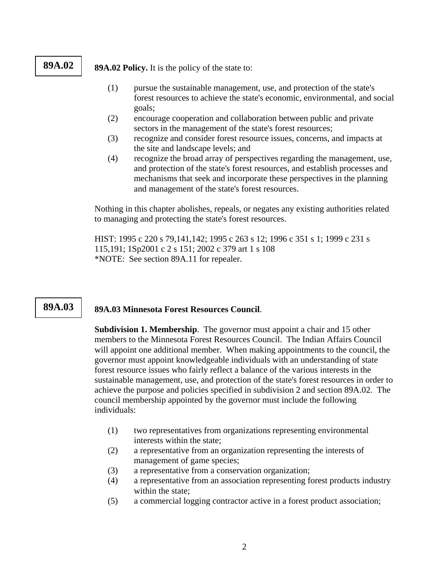**89A.02** 89A.02 Policy. It is the policy of the state to:

- (1) pursue the sustainable management, use, and protection of the state's forest resources to achieve the state's economic, environmental, and social goals;
- (2) encourage cooperation and collaboration between public and private sectors in the management of the state's forest resources;
- (3) recognize and consider forest resource issues, concerns, and impacts at the site and landscape levels; and
- (4) recognize the broad array of perspectives regarding the management, use, and protection of the state's forest resources, and establish processes and mechanisms that seek and incorporate these perspectives in the planning and management of the state's forest resources.

Nothing in this chapter abolishes, repeals, or negates any existing authorities related to managing and protecting the state's forest resources.

HIST: 1995 c 220 s 79,141,142; 1995 c 263 s 12; 1996 c 351 s 1; 1999 c 231 s 115,191; 1Sp2001 c 2 s 151; 2002 c 379 art 1 s 108 \*NOTE: See section 89A.11 for repealer.

# 89A.03 | 89A.03 Minnesota Forest Resources Council.

**Subdivision 1. Membership**. The governor must appoint a chair and 15 other members to the Minnesota Forest Resources Council. The Indian Affairs Council will appoint one additional member. When making appointments to the council, the governor must appoint knowledgeable individuals with an understanding of state forest resource issues who fairly reflect a balance of the various interests in the sustainable management, use, and protection of the state's forest resources in order to achieve the purpose and policies specified in subdivision 2 and section 89A.02. The council membership appointed by the governor must include the following individuals:

- (1) two representatives from organizations representing environmental interests within the state;
- (2) a representative from an organization representing the interests of management of game species;
- (3) a representative from a conservation organization;
- (4) a representative from an association representing forest products industry within the state;
- (5) a commercial logging contractor active in a forest product association;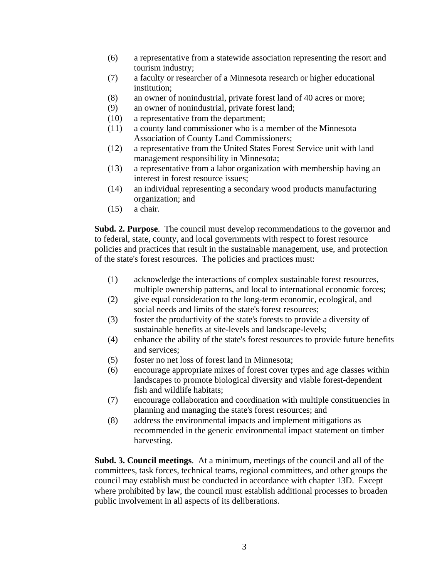- (6) a representative from a statewide association representing the resort and tourism industry;
- (7) a faculty or researcher of a Minnesota research or higher educational institution;
- (8) an owner of nonindustrial, private forest land of 40 acres or more;
- (9) an owner of nonindustrial, private forest land;
- (10) a representative from the department;
- (11) a county land commissioner who is a member of the Minnesota Association of County Land Commissioners;
- (12) a representative from the United States Forest Service unit with land management responsibility in Minnesota;
- (13) a representative from a labor organization with membership having an interest in forest resource issues;
- (14) an individual representing a secondary wood products manufacturing organization; and
- (15) a chair.

**Subd. 2. Purpose**. The council must develop recommendations to the governor and to federal, state, county, and local governments with respect to forest resource policies and practices that result in the sustainable management, use, and protection of the state's forest resources. The policies and practices must:

- (1) acknowledge the interactions of complex sustainable forest resources, multiple ownership patterns, and local to international economic forces;
- (2) give equal consideration to the long-term economic, ecological, and social needs and limits of the state's forest resources;
- (3) foster the productivity of the state's forests to provide a diversity of sustainable benefits at site-levels and landscape-levels;
- (4) enhance the ability of the state's forest resources to provide future benefits and services;
- (5) foster no net loss of forest land in Minnesota;
- (6) encourage appropriate mixes of forest cover types and age classes within landscapes to promote biological diversity and viable forest-dependent fish and wildlife habitats;
- (7) encourage collaboration and coordination with multiple constituencies in planning and managing the state's forest resources; and
- (8) address the environmental impacts and implement mitigations as recommended in the generic environmental impact statement on timber harvesting.

**Subd. 3. Council meetings**. At a minimum, meetings of the council and all of the committees, task forces, technical teams, regional committees, and other groups the council may establish must be conducted in accordance with chapter 13D. Except where prohibited by law, the council must establish additional processes to broaden public involvement in all aspects of its deliberations.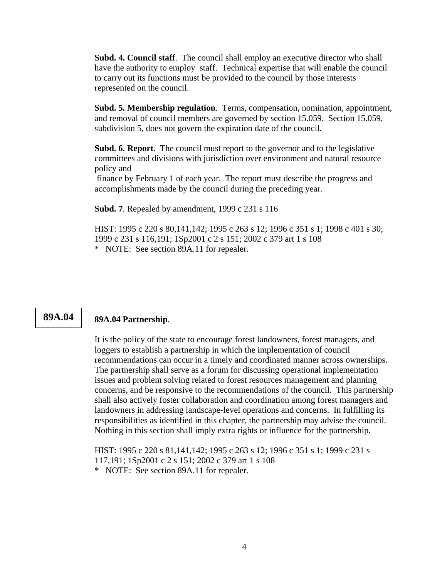**Subd. 4. Council staff**. The council shall employ an executive director who shall have the authority to employ staff. Technical expertise that will enable the council to carry out its functions must be provided to the council by those interests represented on the council.

**Subd. 5. Membership regulation**. Terms, compensation, nomination, appointment, and removal of council members are governed by section 15.059. Section 15.059, subdivision 5, does not govern the expiration date of the council.

**Subd. 6. Report**. The council must report to the governor and to the legislative committees and divisions with jurisdiction over environment and natural resource policy and

 finance by February 1 of each year. The report must describe the progress and accomplishments made by the council during the preceding year.

**Subd. 7**. Repealed by amendment, 1999 c 231 s 116

HIST: 1995 c 220 s 80,141,142; 1995 c 263 s 12; 1996 c 351 s 1; 1998 c 401 s 30; 1999 c 231 s 116,191; 1Sp2001 c 2 s 151; 2002 c 379 art 1 s 108 \* NOTE: See section 89A.11 for repealer.

### **89A.04 89A.04 Partnership**.

It is the policy of the state to encourage forest landowners, forest managers, and loggers to establish a partnership in which the implementation of council recommendations can occur in a timely and coordinated manner across ownerships. The partnership shall serve as a forum for discussing operational implementation issues and problem solving related to forest resources management and planning concerns, and be responsive to the recommendations of the council. This partnership shall also actively foster collaboration and coordination among forest managers and landowners in addressing landscape-level operations and concerns. In fulfilling its responsibilities as identified in this chapter, the partnership may advise the council. Nothing in this section shall imply extra rights or influence for the partnership.

HIST: 1995 c 220 s 81,141,142; 1995 c 263 s 12; 1996 c 351 s 1; 1999 c 231 s 117,191; 1Sp2001 c 2 s 151; 2002 c 379 art 1 s 108 \* NOTE: See section 89A.11 for repealer.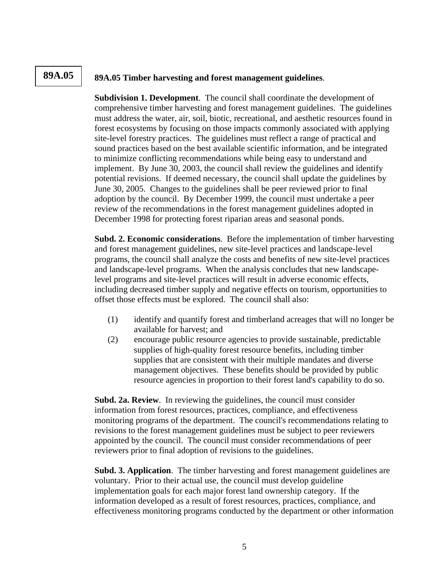# **89A.05 89A.05 Timber harvesting and forest management guidelines**.

**Subdivision 1. Development**. The council shall coordinate the development of comprehensive timber harvesting and forest management guidelines. The guidelines must address the water, air, soil, biotic, recreational, and aesthetic resources found in forest ecosystems by focusing on those impacts commonly associated with applying site-level forestry practices. The guidelines must reflect a range of practical and sound practices based on the best available scientific information, and be integrated to minimize conflicting recommendations while being easy to understand and implement. By June 30, 2003, the council shall review the guidelines and identify potential revisions. If deemed necessary, the council shall update the guidelines by June 30, 2005. Changes to the guidelines shall be peer reviewed prior to final adoption by the council. By December 1999, the council must undertake a peer review of the recommendations in the forest management guidelines adopted in December 1998 for protecting forest riparian areas and seasonal ponds.

**Subd. 2. Economic considerations**. Before the implementation of timber harvesting and forest management guidelines, new site-level practices and landscape-level programs, the council shall analyze the costs and benefits of new site-level practices and landscape-level programs. When the analysis concludes that new landscapelevel programs and site-level practices will result in adverse economic effects, including decreased timber supply and negative effects on tourism, opportunities to offset those effects must be explored. The council shall also:

- (1) identify and quantify forest and timberland acreages that will no longer be available for harvest; and
- (2) encourage public resource agencies to provide sustainable, predictable supplies of high-quality forest resource benefits, including timber supplies that are consistent with their multiple mandates and diverse management objectives. These benefits should be provided by public resource agencies in proportion to their forest land's capability to do so.

**Subd. 2a. Review**. In reviewing the guidelines, the council must consider information from forest resources, practices, compliance, and effectiveness monitoring programs of the department. The council's recommendations relating to revisions to the forest management guidelines must be subject to peer reviewers appointed by the council. The council must consider recommendations of peer reviewers prior to final adoption of revisions to the guidelines.

**Subd. 3. Application**. The timber harvesting and forest management guidelines are voluntary. Prior to their actual use, the council must develop guideline implementation goals for each major forest land ownership category. If the information developed as a result of forest resources, practices, compliance, and effectiveness monitoring programs conducted by the department or other information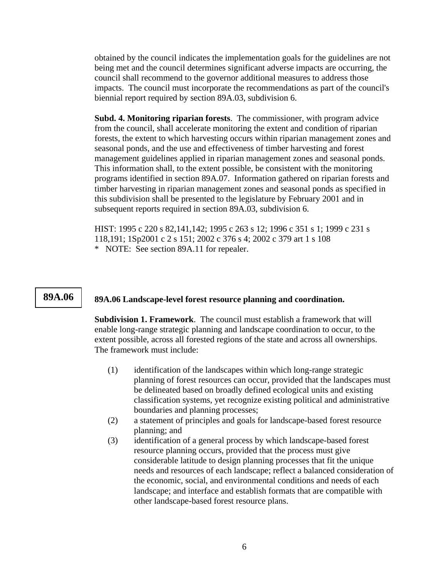obtained by the council indicates the implementation goals for the guidelines are not being met and the council determines significant adverse impacts are occurring, the council shall recommend to the governor additional measures to address those impacts. The council must incorporate the recommendations as part of the council's biennial report required by section 89A.03, subdivision 6.

**Subd. 4. Monitoring riparian forests**. The commissioner, with program advice from the council, shall accelerate monitoring the extent and condition of riparian forests, the extent to which harvesting occurs within riparian management zones and seasonal ponds, and the use and effectiveness of timber harvesting and forest management guidelines applied in riparian management zones and seasonal ponds. This information shall, to the extent possible, be consistent with the monitoring programs identified in section 89A.07. Information gathered on riparian forests and timber harvesting in riparian management zones and seasonal ponds as specified in this subdivision shall be presented to the legislature by February 2001 and in subsequent reports required in section 89A.03, subdivision 6.

HIST: 1995 c 220 s 82,141,142; 1995 c 263 s 12; 1996 c 351 s 1; 1999 c 231 s 118,191; 1Sp2001 c 2 s 151; 2002 c 376 s 4; 2002 c 379 art 1 s 108 \* NOTE: See section 89A.11 for repealer.

### 89A.06 **89A.06 Landscape-level forest resource planning and coordination.**

**Subdivision 1. Framework**. The council must establish a framework that will enable long-range strategic planning and landscape coordination to occur, to the extent possible, across all forested regions of the state and across all ownerships. The framework must include:

- (1) identification of the landscapes within which long-range strategic planning of forest resources can occur, provided that the landscapes must be delineated based on broadly defined ecological units and existing classification systems, yet recognize existing political and administrative boundaries and planning processes;
- (2) a statement of principles and goals for landscape-based forest resource planning; and
- (3) identification of a general process by which landscape-based forest resource planning occurs, provided that the process must give considerable latitude to design planning processes that fit the unique needs and resources of each landscape; reflect a balanced consideration of the economic, social, and environmental conditions and needs of each landscape; and interface and establish formats that are compatible with other landscape-based forest resource plans.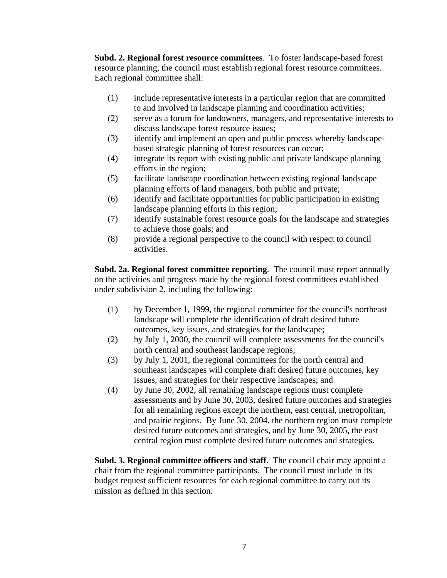**Subd. 2. Regional forest resource committees**. To foster landscape-based forest resource planning, the council must establish regional forest resource committees. Each regional committee shall:

- (1) include representative interests in a particular region that are committed to and involved in landscape planning and coordination activities;
- (2) serve as a forum for landowners, managers, and representative interests to discuss landscape forest resource issues;
- (3) identify and implement an open and public process whereby landscapebased strategic planning of forest resources can occur;
- (4) integrate its report with existing public and private landscape planning efforts in the region;
- (5) facilitate landscape coordination between existing regional landscape planning efforts of land managers, both public and private;
- (6) identify and facilitate opportunities for public participation in existing landscape planning efforts in this region;
- (7) identify sustainable forest resource goals for the landscape and strategies to achieve those goals; and
- (8) provide a regional perspective to the council with respect to council activities.

**Subd. 2a. Regional forest committee reporting**. The council must report annually on the activities and progress made by the regional forest committees established under subdivision 2, including the following:

- (1) by December 1, 1999, the regional committee for the council's northeast landscape will complete the identification of draft desired future outcomes, key issues, and strategies for the landscape;
- (2) by July 1, 2000, the council will complete assessments for the council's north central and southeast landscape regions;
- (3) by July 1, 2001, the regional committees for the north central and southeast landscapes will complete draft desired future outcomes, key issues, and strategies for their respective landscapes; and
- (4) by June 30, 2002, all remaining landscape regions must complete assessments and by June 30, 2003, desired future outcomes and strategies for all remaining regions except the northern, east central, metropolitan, and prairie regions. By June 30, 2004, the northern region must complete desired future outcomes and strategies, and by June 30, 2005, the east central region must complete desired future outcomes and strategies.

**Subd. 3. Regional committee officers and staff**. The council chair may appoint a chair from the regional committee participants. The council must include in its budget request sufficient resources for each regional committee to carry out its mission as defined in this section.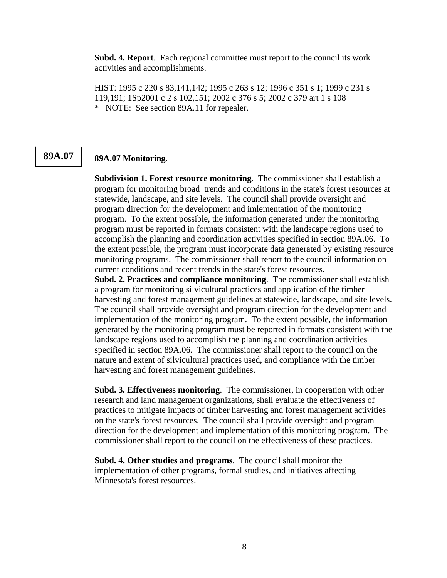**Subd. 4. Report**. Each regional committee must report to the council its work activities and accomplishments.

HIST: 1995 c 220 s 83,141,142; 1995 c 263 s 12; 1996 c 351 s 1; 1999 c 231 s 119,191; 1Sp2001 c 2 s 102,151; 2002 c 376 s 5; 2002 c 379 art 1 s 108 \* NOTE: See section 89A.11 for repealer.

# **89A.07 89A.07 Monitoring**.

**Subdivision 1. Forest resource monitoring**. The commissioner shall establish a program for monitoring broad trends and conditions in the state's forest resources at statewide, landscape, and site levels. The council shall provide oversight and program direction for the development and imlementation of the monitoring program. To the extent possible, the information generated under the monitoring program must be reported in formats consistent with the landscape regions used to accomplish the planning and coordination activities specified in section 89A.06. To the extent possible, the program must incorporate data generated by existing resource monitoring programs. The commissioner shall report to the council information on current conditions and recent trends in the state's forest resources.

**Subd. 2. Practices and compliance monitoring**. The commissioner shall establish a program for monitoring silvicultural practices and application of the timber harvesting and forest management guidelines at statewide, landscape, and site levels. The council shall provide oversight and program direction for the development and implementation of the monitoring program. To the extent possible, the information generated by the monitoring program must be reported in formats consistent with the landscape regions used to accomplish the planning and coordination activities specified in section 89A.06. The commissioner shall report to the council on the nature and extent of silvicultural practices used, and compliance with the timber harvesting and forest management guidelines.

**Subd. 3. Effectiveness monitoring**. The commissioner, in cooperation with other research and land management organizations, shall evaluate the effectiveness of practices to mitigate impacts of timber harvesting and forest management activities on the state's forest resources. The council shall provide oversight and program direction for the development and implementation of this monitoring program. The commissioner shall report to the council on the effectiveness of these practices.

**Subd. 4. Other studies and programs**. The council shall monitor the implementation of other programs, formal studies, and initiatives affecting Minnesota's forest resources.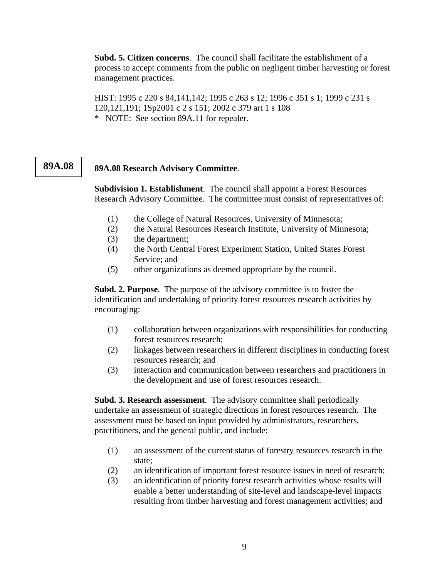**Subd. 5. Citizen concerns**. The council shall facilitate the establishment of a process to accept comments from the public on negligent timber harvesting or forest management practices.

HIST: 1995 c 220 s 84,141,142; 1995 c 263 s 12; 1996 c 351 s 1; 1999 c 231 s 120,121,191; 1Sp2001 c 2 s 151; 2002 c 379 art 1 s 108 \* NOTE: See section 89A.11 for repealer.

### 89A.08 **89A.08 Research Advisory Committee.**

**Subdivision 1. Establishment**. The council shall appoint a Forest Resources Research Advisory Committee. The committee must consist of representatives of:

- (1) the College of Natural Resources, University of Minnesota;
- (2) the Natural Resources Research Institute, University of Minnesota;
- (3) the department;
- (4) the North Central Forest Experiment Station, United States Forest Service; and
- (5) other organizations as deemed appropriate by the council.

**Subd. 2. Purpose**. The purpose of the advisory committee is to foster the identification and undertaking of priority forest resources research activities by encouraging:

- (1) collaboration between organizations with responsibilities for conducting forest resources research;
- (2) linkages between researchers in different disciplines in conducting forest resources research; and
- (3) interaction and communication between researchers and practitioners in the development and use of forest resources research.

**Subd. 3. Research assessment**. The advisory committee shall periodically undertake an assessment of strategic directions in forest resources research. The assessment must be based on input provided by administrators, researchers, practitioners, and the general public, and include:

- (1) an assessment of the current status of forestry resources research in the state;
- (2) an identification of important forest resource issues in need of research;
- (3) an identification of priority forest research activities whose results will enable a better understanding of site-level and landscape-level impacts resulting from timber harvesting and forest management activities; and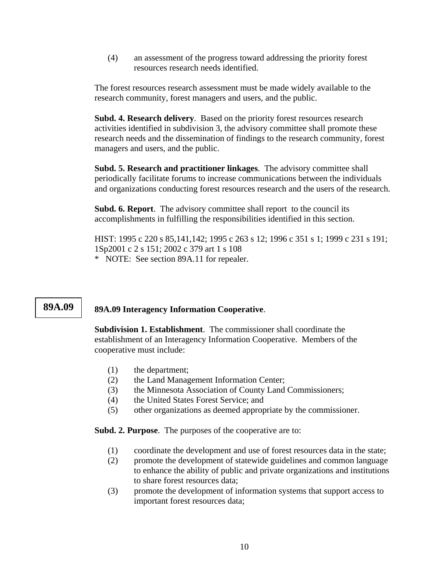(4) an assessment of the progress toward addressing the priority forest resources research needs identified.

The forest resources research assessment must be made widely available to the research community, forest managers and users, and the public.

**Subd. 4. Research delivery**. Based on the priority forest resources research activities identified in subdivision 3, the advisory committee shall promote these research needs and the dissemination of findings to the research community, forest managers and users, and the public.

**Subd. 5. Research and practitioner linkages**. The advisory committee shall periodically facilitate forums to increase communications between the individuals and organizations conducting forest resources research and the users of the research.

**Subd. 6. Report**. The advisory committee shall report to the council its accomplishments in fulfilling the responsibilities identified in this section.

HIST: 1995 c 220 s 85,141,142; 1995 c 263 s 12; 1996 c 351 s 1; 1999 c 231 s 191; 1Sp2001 c 2 s 151; 2002 c 379 art 1 s 108 \* NOTE: See section 89A.11 for repealer.

# **89A.09** 89A.09 Interagency Information Cooperative.

**Subdivision 1. Establishment**. The commissioner shall coordinate the establishment of an Interagency Information Cooperative. Members of the cooperative must include:

- (1) the department;
- (2) the Land Management Information Center;
- (3) the Minnesota Association of County Land Commissioners;
- (4) the United States Forest Service; and
- (5) other organizations as deemed appropriate by the commissioner.

**Subd. 2. Purpose**. The purposes of the cooperative are to:

- (1) coordinate the development and use of forest resources data in the state;
- (2) promote the development of statewide guidelines and common language to enhance the ability of public and private organizations and institutions to share forest resources data;
- (3) promote the development of information systems that support access to important forest resources data;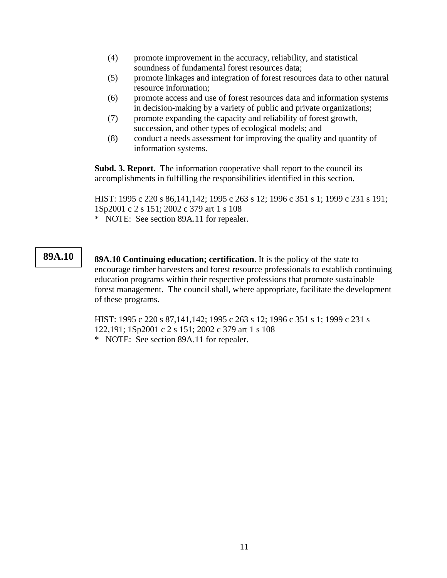- (4) promote improvement in the accuracy, reliability, and statistical soundness of fundamental forest resources data;
- (5) promote linkages and integration of forest resources data to other natural resource information;
- (6) promote access and use of forest resources data and information systems in decision-making by a variety of public and private organizations;
- (7) promote expanding the capacity and reliability of forest growth, succession, and other types of ecological models; and
- (8) conduct a needs assessment for improving the quality and quantity of information systems.

**Subd. 3. Report**. The information cooperative shall report to the council its accomplishments in fulfilling the responsibilities identified in this section.

HIST: 1995 c 220 s 86,141,142; 1995 c 263 s 12; 1996 c 351 s 1; 1999 c 231 s 191; 1Sp2001 c 2 s 151; 2002 c 379 art 1 s 108 \* NOTE: See section 89A.11 for repealer.

**89A.10** 89A.10 Continuing education; certification. It is the policy of the state to encourage timber harvesters and forest resource professionals to establish continuing education programs within their respective professions that promote sustainable forest management. The council shall, where appropriate, facilitate the development of these programs.

> HIST: 1995 c 220 s 87,141,142; 1995 c 263 s 12; 1996 c 351 s 1; 1999 c 231 s 122,191; 1Sp2001 c 2 s 151; 2002 c 379 art 1 s 108 \* NOTE: See section 89A.11 for repealer.